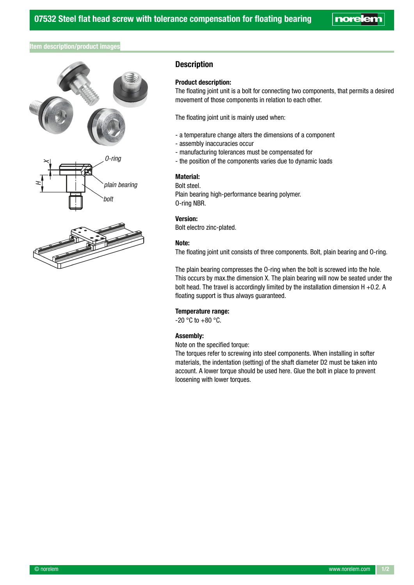**noreler** 

# Item description/product images



# **Description**

### Product description:

The floating joint unit is a bolt for connecting two components, that permits a desired movement of those components in relation to each other.

The floating joint unit is mainly used when:

- a temperature change alters the dimensions of a component
- assembly inaccuracies occur
- manufacturing tolerances must be compensated for
- the position of the components varies due to dynamic loads

#### Material:

Bolt steel.

Plain bearing high-performance bearing polymer. O-ring NBR.

## Version:

Bolt electro zinc-plated.

## Note:

The floating joint unit consists of three components. Bolt, plain bearing and O-ring.

The plain bearing compresses the O-ring when the bolt is screwed into the hole. This occurs by max.the dimension X. The plain bearing will now be seated under the bolt head. The travel is accordingly limited by the installation dimension H +0.2. A floating support is thus always guaranteed.

#### Temperature range:

 $-20 °C$  to  $+80 °C$ .

#### Assembly:

Note on the specified torque:

The torques refer to screwing into steel components. When installing in softer materials, the indentation (setting) of the shaft diameter D2 must be taken into account. A lower torque should be used here. Glue the bolt in place to prevent loosening with lower torques.